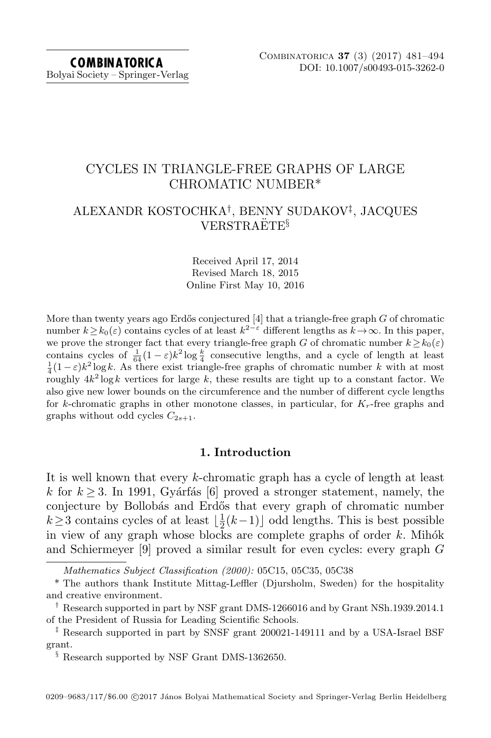# CYCLES IN TRIANGLE-FREE GRAPHS OF LARGE CHROMATIC NUMBER\*

# ALEXANDR KOSTOCHKA† , BENNY SUDAKOV‡ , JACQUES  $VERSTR AETE<sup>§</sup>$

Received April 17, 2014 Revised March 18, 2015 Online First May 10, 2016

More than twenty years ago Erdős conjectured  $[4]$  that a triangle-free graph  $G$  of chromatic number  $k \ge k_0(\varepsilon)$  contains cycles of at least  $k^{2-\varepsilon}$  different lengths as  $k \to \infty$ . In this paper, we prove the stronger fact that every triangle-free graph G of chromatic number  $k \geq k_0(\varepsilon)$ contains cycles of  $\frac{1}{64}(1-\varepsilon)k^2 \log \frac{k}{4}$  consecutive lengths, and a cycle of length at least  $\frac{1}{4}(1-\varepsilon)k^2 \log k$ . As there exist triangle-free graphs of chromatic number k with at most roughly  $4k^2 \log k$  vertices for large k, these results are tight up to a constant factor. We also give new lower bounds on the circumference and the number of different cycle lengths for k-chromatic graphs in other monotone classes, in particular, for  $K_r$ -free graphs and graphs without odd cycles  $C_{2s+1}$ .

## 1. Introduction

It is well known that every k-chromatic graph has a cycle of length at least k for  $k \geq 3$ . In 1991, Gyárfás [\[6\]](#page-13-1) proved a stronger statement, namely, the conjecture by Bollobás and Erdős that every graph of chromatic number  $k \geq 3$  contains cycles of at least  $\frac{1}{2}$  $\frac{1}{2}(k-1)$  odd lengths. This is best possible in view of any graph whose blocks are complete graphs of order  $k$ . Mihók and Schiermeyer [\[9\]](#page-13-2) proved a similar result for even cycles: every graph G

Mathematics Subject Classification (2000): 05C15, 05C35, 05C38

<sup>\*</sup> The authors thank Institute Mittag-Leffler (Djursholm, Sweden) for the hospitality and creative environment.

<sup>†</sup> Research supported in part by NSF grant DMS-1266016 and by Grant NSh.1939.2014.1 of the President of Russia for Leading Scientific Schools.

<sup>‡</sup> Research supported in part by SNSF grant 200021-149111 and by a USA-Israel BSF grant.

<sup>&</sup>lt;sup>§</sup> Research supported by NSF Grant DMS-1362650.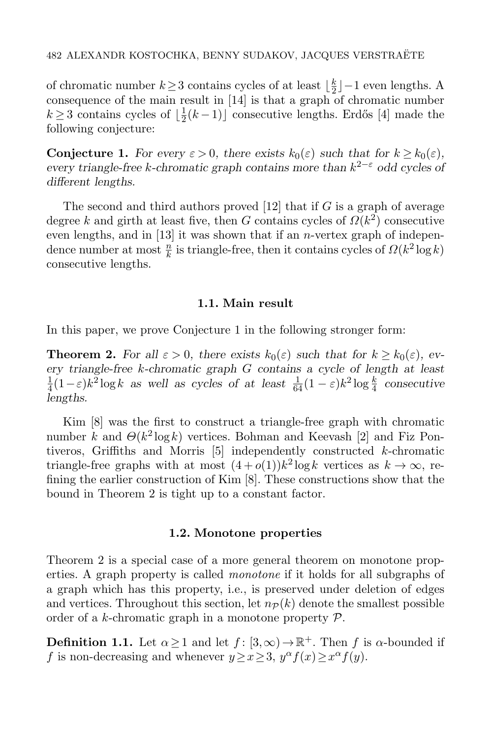of chromatic number  $k \geq 3$  contains cycles of at least  $\lfloor \frac{k}{2} \rfloor$  $\frac{k}{2}$ ]−1 even lengths. A consequence of the main result in [\[14\]](#page-13-3) is that a graph of chromatic number  $k \geq 3$  contains cycles of  $\lfloor \frac{1}{2} \rfloor$  $\frac{1}{2}(k-1)$  consecutive lengths. Erdős [\[4\]](#page-13-0) made the following conjecture:

<span id="page-1-0"></span>**Conjecture 1.** For every  $\varepsilon > 0$ , there exists  $k_0(\varepsilon)$  such that for  $k \geq k_0(\varepsilon)$ , every triangle-free k-chromatic graph contains more than  $k^{2-\epsilon}$  odd cycles of different lengths.

The second and third authors proved  $[12]$  that if G is a graph of average degree k and girth at least five, then G contains cycles of  $\Omega(k^2)$  consecutive even lengths, and in  $[13]$  it was shown that if an *n*-vertex graph of independence number at most  $\frac{n}{k}$  is triangle-free, then it contains cycles of  $\Omega(k^2 \log k)$ consecutive lengths.

### 1.1. Main result

<span id="page-1-1"></span>In this paper, we prove Conjecture [1](#page-1-0) in the following stronger form:

**Theorem 2.** For all  $\varepsilon > 0$ , there exists  $k_0(\varepsilon)$  such that for  $k \geq k_0(\varepsilon)$ , every triangle-free k-chromatic graph G contains a cycle of length at least 1  $\frac{1}{4}(1-\varepsilon)k^2\log k$  as well as cycles of at least  $\frac{1}{64}(1-\varepsilon)k^2\log\frac{k}{4}$  consecutive lengths.

Kim [\[8\]](#page-13-6) was the first to construct a triangle-free graph with chromatic number k and  $\Theta(k^2 \log k)$  vertices. Bohman and Keevash [\[2\]](#page-12-0) and Fiz Pontiveros, Griffiths and Morris [\[5\]](#page-13-7) independently constructed k-chromatic triangle-free graphs with at most  $(4+o(1))k^2 \log k$  vertices as  $k \to \infty$ , refining the earlier construction of Kim [\[8\]](#page-13-6). These constructions show that the bound in Theorem [2](#page-1-1) is tight up to a constant factor.

## 1.2. Monotone properties

Theorem [2](#page-1-1) is a special case of a more general theorem on monotone properties. A graph property is called monotone if it holds for all subgraphs of a graph which has this property, i.e., is preserved under deletion of edges and vertices. Throughout this section, let  $n_P(k)$  denote the smallest possible order of a k-chromatic graph in a monotone property  $P$ .

**Definition 1.1.** Let  $\alpha \geq 1$  and let  $f : [3,\infty) \to \mathbb{R}^+$ . Then f is  $\alpha$ -bounded if f is non-decreasing and whenever  $y \ge x \ge 3$ ,  $y^{\alpha} f(x) \ge x^{\alpha} f(y)$ .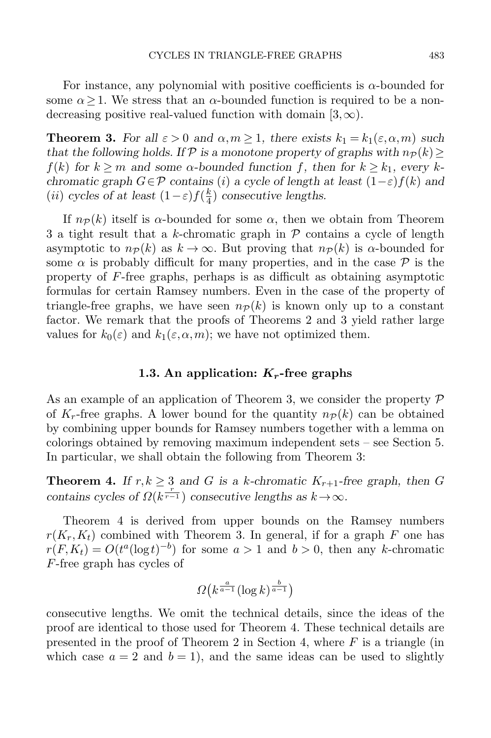For instance, any polynomial with positive coefficients is  $\alpha$ -bounded for some  $\alpha \geq 1$ . We stress that an  $\alpha$ -bounded function is required to be a nondecreasing positive real-valued function with domain  $(3,\infty)$ .

<span id="page-2-0"></span>**Theorem 3.** For all  $\varepsilon > 0$  and  $\alpha, m \ge 1$ , there exists  $k_1 = k_1(\varepsilon, \alpha, m)$  such that the following holds. If P is a monotone property of graphs with  $n_{\mathcal{P}}(k)$  $f(k)$  for  $k > m$  and some  $\alpha$ -bounded function f, then for  $k > k_1$ , every kchromatic graph  $G \in \mathcal{P}$  contains (i) a cycle of length at least  $(1-\varepsilon)f(k)$  and (*ii*) cycles of at least  $(1-\varepsilon)f(\frac{k}{4})$  $\frac{k}{4}$ ) consecutive lengths.

If  $n_P(k)$  itself is  $\alpha$ -bounded for some  $\alpha$ , then we obtain from Theorem [3](#page-2-0) a tight result that a k-chromatic graph in  $P$  contains a cycle of length asymptotic to  $n\mathcal{P}(k)$  as  $k \to \infty$ . But proving that  $n\mathcal{P}(k)$  is  $\alpha$ -bounded for some  $\alpha$  is probably difficult for many properties, and in the case  $\mathcal P$  is the property of F-free graphs, perhaps is as difficult as obtaining asymptotic formulas for certain Ramsey numbers. Even in the case of the property of triangle-free graphs, we have seen  $n_{\mathcal{P}}(k)$  is known only up to a constant factor. We remark that the proofs of Theorems [2](#page-1-1) and [3](#page-2-0) yield rather large values for  $k_0(\varepsilon)$  and  $k_1(\varepsilon,\alpha,m)$ ; we have not optimized them.

## 1.3. An application:  $K_r$ -free graphs

As an example of an application of Theorem [3,](#page-2-0) we consider the property  $\mathcal P$ of  $K_r$ -free graphs. A lower bound for the quantity  $n_{\mathcal{P}}(k)$  can be obtained by combining upper bounds for Ramsey numbers together with a lemma on colorings obtained by removing maximum independent sets – see Section [5.](#page-11-0) In particular, we shall obtain the following from Theorem [3:](#page-2-0)

<span id="page-2-1"></span>**Theorem 4.** If  $r, k \geq 3$  and G is a k-chromatic  $K_{r+1}$ -free graph, then G contains cycles of  $\Omega(k^{\frac{r}{r-1}})$  consecutive lengths as  $k \to \infty$ .

Theorem [4](#page-2-1) is derived from upper bounds on the Ramsey numbers  $r(K_r,K_t)$  combined with Theorem [3.](#page-2-0) In general, if for a graph F one has  $r(F, K_t) = O(t^a (\log t)^{-b})$  for some  $a > 1$  and  $b > 0$ , then any k-chromatic F-free graph has cycles of

$$
\varOmega\big(k^{\frac{a}{a-1}}(\log k)^{\frac{b}{a-1}}\big)
$$

consecutive lengths. We omit the technical details, since the ideas of the proof are identical to those used for Theorem [4.](#page-2-1) These technical details are presented in the proof of Theorem [2](#page-1-1) in Section [4,](#page-8-0) where  $F$  is a triangle (in which case  $a = 2$  and  $b = 1$ , and the same ideas can be used to slightly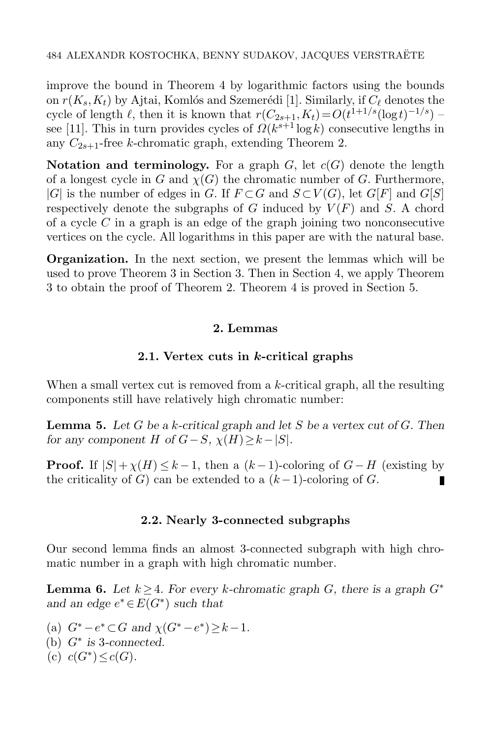improve the bound in Theorem [4](#page-2-1) by logarithmic factors using the bounds on  $r(K_s, K_t)$  by Ajtai, Komlós and Szemerédi [\[1\]](#page-12-1). Similarly, if  $C_\ell$  denotes the cycle of length  $\ell$ , then it is known that  $r(C_{2s+1}, K_t) = O(t^{1+1/s}(\log t)^{-1/s})$  – see [\[11\]](#page-13-8). This in turn provides cycles of  $\Omega(k^{s+1} \log k)$  consecutive lengths in any  $C_{2s+1}$ -free k-chromatic graph, extending Theorem [2.](#page-1-1)

Notation and terminology. For a graph  $G$ , let  $c(G)$  denote the length of a longest cycle in G and  $\chi(G)$  the chromatic number of G. Furthermore,  $|G|$  is the number of edges in G. If  $F \subset G$  and  $S \subset V(G)$ , let  $G[F]$  and  $G[S]$ respectively denote the subgraphs of  $G$  induced by  $V(F)$  and  $S$ . A chord of a cycle  $C$  in a graph is an edge of the graph joining two nonconsecutive vertices on the cycle. All logarithms in this paper are with the natural base.

Organization. In the next section, we present the lemmas which will be used to prove Theorem [3](#page-2-0) in Section 3. Then in Section [4,](#page-8-0) we apply Theorem [3](#page-2-0) to obtain the proof of Theorem [2.](#page-1-1) Theorem [4](#page-2-1) is proved in Section [5.](#page-11-0)

# 2. Lemmas

# 2.1. Vertex cuts in k-critical graphs

When a small vertex cut is removed from a k-critical graph, all the resulting components still have relatively high chromatic number:

<span id="page-3-1"></span>**Lemma 5.** Let G be a k-critical graph and let S be a vertex cut of G. Then for any component H of  $G-S$ ,  $\chi(H) \geq k-|S|$ .

**Proof.** If  $|S| + \chi(H) \leq k - 1$ , then a  $(k - 1)$ -coloring of  $G - H$  (existing by the criticality of G) can be extended to a  $(k-1)$ -coloring of G. П

# 2.2. Nearly 3-connected subgraphs

Our second lemma finds an almost 3-connected subgraph with high chromatic number in a graph with high chromatic number.

<span id="page-3-0"></span>**Lemma 6.** Let  $k \geq 4$ . For every k-chromatic graph G, there is a graph  $G^*$ and an edge  $e^* \in E(G^*)$  such that

(a)  $G^* - e^* \subset G$  and  $\chi(G^* - e^*) \geq k - 1$ . (b)  $G^*$  is 3-connected. (c)  $c(G^*) \leq c(G)$ .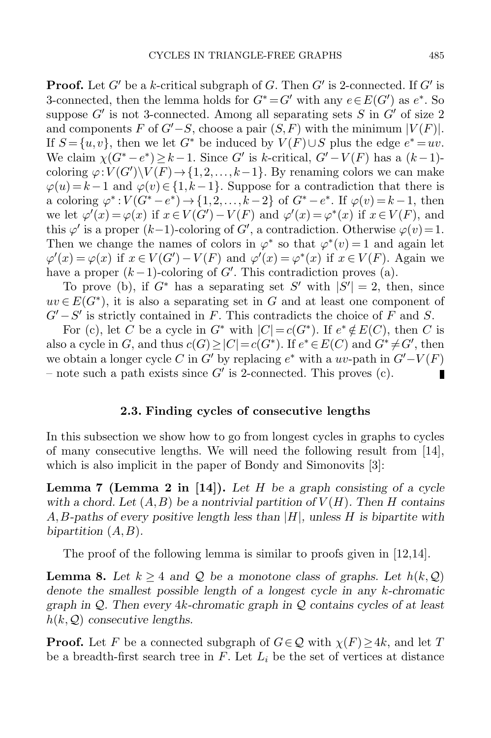**Proof.** Let G' be a k-critical subgraph of G. Then  $G'$  is 2-connected. If  $G'$  is 3-connected, then the lemma holds for  $G^* = G'$  with any  $e \in E(G')$  as  $e^*$ . So suppose  $G'$  is not 3-connected. Among all separating sets S in  $G'$  of size 2 and components F of  $G'-S$ , choose a pair  $(S, F)$  with the minimum  $|V(F)|$ . If  $S = \{u, v\}$ , then we let  $G^*$  be induced by  $V(F) \cup S$  plus the edge  $e^* = uv$ . We claim  $\chi(G^* - e^*) \geq k-1$ . Since G' is k-critical,  $G' - V(F)$  has a  $(k-1)$ coloring  $\varphi: V(G')\backslash V(F) \to \{1,2,\ldots,k-1\}$ . By renaming colors we can make  $\varphi(u) = k - 1$  and  $\varphi(v) \in \{1, k - 1\}$ . Suppose for a contradiction that there is a coloring  $\varphi^*: V(G^* - e^*) \to \{1, 2, ..., k-2\}$  of  $G^* - e^*$ . If  $\varphi(v) = k-1$ , then we let  $\varphi'(x) = \varphi(x)$  if  $x \in V(G') - V(F)$  and  $\varphi'(x) = \varphi^*(x)$  if  $x \in V(F)$ , and this  $\varphi'$  is a proper  $(k-1)$ -coloring of  $G'$ , a contradiction. Otherwise  $\varphi(v) = 1$ . Then we change the names of colors in  $\varphi^*$  so that  $\varphi^*(v) = 1$  and again let  $\varphi'(x) = \varphi(x)$  if  $x \in V(G') - V(F)$  and  $\varphi'(x) = \varphi^*(x)$  if  $x \in V(F)$ . Again we have a proper  $(k-1)$ -coloring of G'. This contradiction proves (a).

To prove (b), if  $G^*$  has a separating set S' with  $|S'| = 2$ , then, since  $uv \in E(G^*)$ , it is also a separating set in G and at least one component of  $G'-S'$  is strictly contained in F. This contradicts the choice of F and S.

For (c), let C be a cycle in  $G^*$  with  $|C|=c(G^*)$ . If  $e^*\notin E(C)$ , then C is also a cycle in G, and thus  $c(G) \geq |C| = c(G^*)$ . If  $e^* \in E(C)$  and  $G^* \neq G'$ , then we obtain a longer cycle C in G' by replacing  $e^*$  with a uv-path in  $G'-V(F)$ – note such a path exists since  $G'$  is 2-connected. This proves  $(c)$ . П

#### 2.3. Finding cycles of consecutive lengths

In this subsection we show how to go from longest cycles in graphs to cycles of many consecutive lengths. We will need the following result from [\[14\]](#page-13-3), which is also implicit in the paper of Bondy and Simonovits [\[3\]](#page-12-2):

<span id="page-4-0"></span>**Lemma 7 (Lemma 2 in [\[14\]](#page-13-3)).** Let H be a graph consisting of a cycle with a chord. Let  $(A, B)$  be a nontrivial partition of  $V(H)$ . Then H contains A, B-paths of every positive length less than  $|H|$ , unless H is bipartite with bipartition  $(A, B)$ .

The proof of the following lemma is similar to proofs given in  $[12,14]$  $[12,14]$ .

<span id="page-4-1"></span>**Lemma 8.** Let  $k \geq 4$  and Q be a monotone class of graphs. Let  $h(k, Q)$ denote the smallest possible length of a longest cycle in any k-chromatic graph in  $\mathcal{Q}$ . Then every 4k-chromatic graph in  $\mathcal{Q}$  contains cycles of at least  $h(k, Q)$  consecutive lengths.

**Proof.** Let F be a connected subgraph of  $G \in \mathcal{Q}$  with  $\chi(F) \geq 4k$ , and let T be a breadth-first search tree in  $F$ . Let  $L_i$  be the set of vertices at distance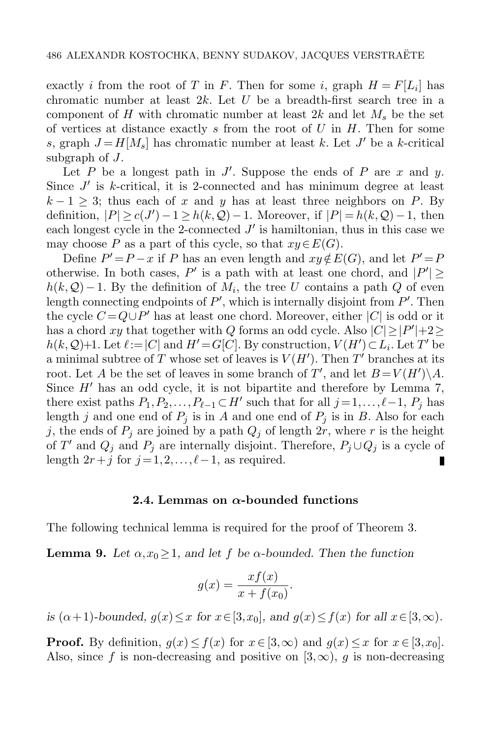exactly *i* from the root of T in F. Then for some *i*, graph  $H = F[L_i]$  has chromatic number at least  $2k$ . Let U be a breadth-first search tree in a component of H with chromatic number at least  $2k$  and let  $M_s$  be the set of vertices at distance exactly s from the root of  $U$  in  $H$ . Then for some s, graph  $J = H[M_s]$  has chromatic number at least k. Let  $J'$  be a k-critical subgraph of J.

Let  $P$  be a longest path in  $J'$ . Suppose the ends of  $P$  are  $x$  and  $y$ . Since  $J'$  is k-critical, it is 2-connected and has minimum degree at least  $k-1 \geq 3$ ; thus each of x and y has at least three neighbors on P. By definition,  $|P| \ge c(J') - 1 \ge h(k, Q) - 1$ . Moreover, if  $|P| = h(k, Q) - 1$ , then each longest cycle in the 2-connected  $J'$  is hamiltonian, thus in this case we may choose P as a part of this cycle, so that  $xy \in E(G)$ .

Define  $P' = P - x$  if P has an even length and  $xy \notin E(G)$ , and let  $P' = F$ otherwise. In both cases, P' is a path with at least one chord, and  $|P'| \geq$  $h(k, Q) - 1$ . By the definition of  $M_i$ , the tree U contains a path Q of even length connecting endpoints of  $P'$ , which is internally disjoint from  $P'$ . Then the cycle  $C = Q \cup P'$  has at least one chord. Moreover, either  $|C|$  is odd or it has a chord xy that together with Q forms an odd cycle. Also  $|C| \ge |P'| + 2 \ge$  $h(k, Q)+1$ . Let  $\ell := |C|$  and  $H' = G[C]$ . By construction,  $V(H') \subset L_i$ . Let T' be a minimal subtree of T whose set of leaves is  $V(H')$ . Then T' branches at its root. Let A be the set of leaves in some branch of T', and let  $B = V(H') \backslash A$ . Since  $H'$  has an odd cycle, it is not bipartite and therefore by Lemma [7,](#page-4-0) there exist paths  $P_1, P_2, \ldots, P_{\ell-1} \subset H'$  such that for all  $j = 1, \ldots, \ell - 1, P_j$  has length j and one end of  $P_j$  is in A and one end of  $P_j$  is in B. Also for each j, the ends of  $P_j$  are joined by a path  $Q_j$  of length  $2r$ , where r is the height of T' and  $Q_j$  and  $P_j$  are internally disjoint. Therefore,  $P_j \cup Q_j$  is a cycle of length  $2r+j$  for  $j = 1, 2, \ldots, \ell-1$ , as required.

#### 2.4. Lemmas on  $\alpha$ -bounded functions

<span id="page-5-0"></span>The following technical lemma is required for the proof of Theorem [3.](#page-2-0)

**Lemma 9.** Let  $\alpha, x_0 \geq 1$ , and let f be  $\alpha$ -bounded. Then the function

$$
g(x) = \frac{xf(x)}{x + f(x_0)}.
$$

is  $(\alpha + 1)$ -bounded,  $g(x) \leq x$  for  $x \in [3, x_0]$ , and  $g(x) \leq f(x)$  for all  $x \in [3, \infty)$ .

**Proof.** By definition,  $g(x) \leq f(x)$  for  $x \in [3,\infty)$  and  $g(x) \leq x$  for  $x \in [3,x_0]$ . Also, since f is non-decreasing and positive on  $(3,\infty)$ , g is non-decreasing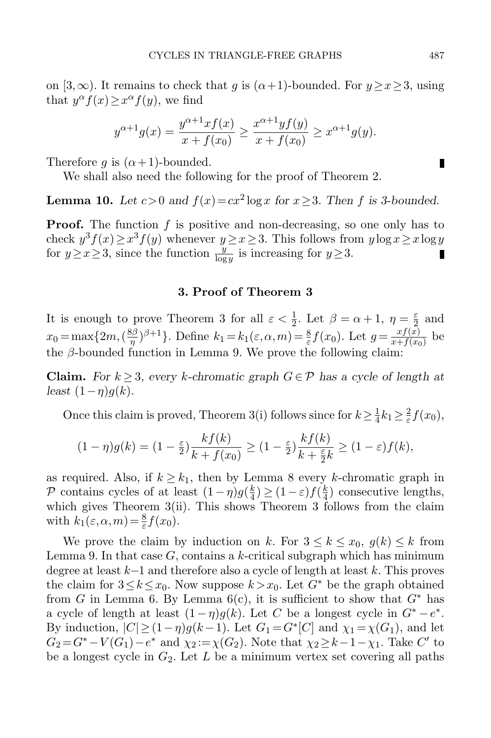on [3,∞). It remains to check that g is  $(\alpha+1)$ -bounded. For  $y \ge x \ge 3$ , using that  $y^{\alpha} f(x) \geq x^{\alpha} f(y)$ , we find

$$
y^{\alpha+1}g(x) = \frac{y^{\alpha+1}xf(x)}{x+f(x_0)} \ge \frac{x^{\alpha+1}yf(y)}{x+f(x_0)} \ge x^{\alpha+1}g(y).
$$

Therefore g is  $(\alpha+1)$ -bounded.

We shall also need the following for the proof of Theorem [2.](#page-1-1)

<span id="page-6-0"></span>**Lemma 10.** Let  $c > 0$  and  $f(x) = cx^2 \log x$  for  $x \ge 3$ . Then f is 3-bounded.

**Proof.** The function  $f$  is positive and non-decreasing, so one only has to check  $y^3 f(x) \ge x^3 f(y)$  whenever  $y \ge x \ge 3$ . This follows from  $y \log x \ge x \log y$ for  $y \ge x \ge 3$ , since the function  $\frac{y}{\log y}$  is increasing for  $y \ge 3$ . П

## 3. Proof of Theorem [3](#page-2-0)

It is enough to prove Theorem [3](#page-2-0) for all  $\varepsilon < \frac{1}{2}$ . Let  $\beta = \alpha + 1$ ,  $\eta = \frac{\varepsilon}{2}$  $rac{\varepsilon}{2}$  and  $x_0 = \max\{2m, (\frac{8\beta}{n})\}$  $(\frac{3\beta}{\eta})^{\beta+1}$ . Define  $k_1 = k_1(\varepsilon,\alpha,m) = \frac{8}{\varepsilon} f(x_0)$ . Let  $g = \frac{xf(x)}{x+f(x_0)}$  $\frac{xf(x)}{x+f(x_0)}$  be the  $\beta$ -bounded function in Lemma [9.](#page-5-0) We prove the following claim:

**Claim.** For  $k \geq 3$ , every k-chromatic graph  $G \in \mathcal{P}$  has a cycle of length at least  $(1-\eta)q(k)$ .

Once this claim is proved, Theorem [3\(](#page-2-0)i) follows since for  $k \geq \frac{1}{4}$  $\frac{1}{4}k_1 \geq \frac{2}{\varepsilon}$  $\frac{2}{\varepsilon}f(x_0),$ 

$$
(1 - \eta)g(k) = (1 - \frac{\varepsilon}{2})\frac{kf(k)}{k + f(x_0)} \ge (1 - \frac{\varepsilon}{2})\frac{kf(k)}{k + \frac{\varepsilon}{2}k} \ge (1 - \varepsilon)f(k),
$$

as required. Also, if  $k \geq k_1$ , then by Lemma [8](#page-4-1) every k-chromatic graph in P contains cycles of at least  $(1 - \eta)g(\frac{k}{4})$  $\frac{k}{4}) \geq (1-\varepsilon)f(\frac{k}{4})$  $\frac{k}{4}$ ) consecutive lengths, which gives Theorem [3\(](#page-2-0)ii). This shows Theorem [3](#page-2-0) follows from the claim with  $k_1(\varepsilon,\alpha,m) = \frac{8}{\varepsilon} f(x_0)$ .

We prove the claim by induction on k. For  $3 \leq k \leq x_0, g(k) \leq k$  from Lemma [9.](#page-5-0) In that case  $G$ , contains a k-critical subgraph which has minimum degree at least k−1 and therefore also a cycle of length at least k. This proves the claim for  $3 \leq k \leq x_0$ . Now suppose  $k > x_0$ . Let  $G^*$  be the graph obtained from G in Lemma [6.](#page-3-0) By Lemma  $6(c)$ , it is sufficient to show that  $G^*$  has a cycle of length at least  $(1 - \eta)g(k)$ . Let C be a longest cycle in  $G^* - e^*$ . By induction,  $|C| \ge (1 - \eta)g(k - 1)$ . Let  $G_1 = G^*[C]$  and  $\chi_1 = \chi(G_1)$ , and let  $G_2 = G^* - V(G_1) - e^*$  and  $\chi_2 := \chi(G_2)$ . Note that  $\chi_2 \geq k - 1 - \chi_1$ . Take  $C'$  to be a longest cycle in  $G_2$ . Let L be a minimum vertex set covering all paths

п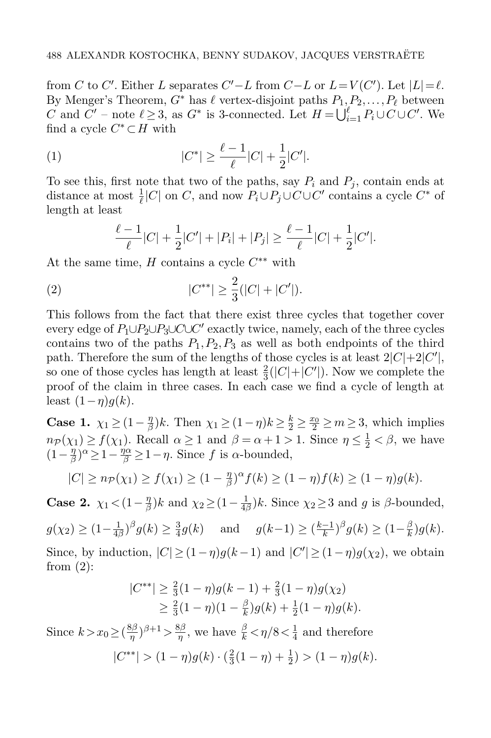from C to C'. Either L separates  $C'-L$  from  $C-L$  or  $L=V(C')$ . Let  $|L|=\ell$ . By Menger's Theorem,  $G^*$  has  $\ell$  vertex-disjoint paths  $P_1,P_2,\ldots,P_\ell$  between C and  $C'$  – note  $\ell \geq 3$ , as  $G^*$  is 3-connected. Let  $H = \bigcup_{i=1}^{\ell} P_i \cup C \cup C'$ . We find a cycle  $C^* \subset H$  with

(1) 
$$
|C^*| \ge \frac{\ell-1}{\ell}|C| + \frac{1}{2}|C'|.
$$

To see this, first note that two of the paths, say  $P_i$  and  $P_j$ , contain ends at distance at most  $\frac{1}{\ell}|C|$  on C, and now  $P_i \cup P_j \cup C \cup C'$  contains a cycle  $C^*$  of length at least

<span id="page-7-1"></span><span id="page-7-0"></span>
$$
\frac{\ell-1}{\ell}|C| + \frac{1}{2}|C'| + |P_i| + |P_j| \ge \frac{\ell-1}{\ell}|C| + \frac{1}{2}|C'|.
$$

At the same time,  $H$  contains a cycle  $C^{**}$  with

(2) 
$$
|C^{**}| \ge \frac{2}{3}(|C| + |C'|).
$$

This follows from the fact that there exist three cycles that together cover every edge of  $P_1 \cup P_2 \cup P_3 \cup C \cup C'$  exactly twice, namely, each of the three cycles contains two of the paths  $P_1, P_2, P_3$  as well as both endpoints of the third path. Therefore the sum of the lengths of those cycles is at least  $2|C|+2|C'|$ , so one of those cycles has length at least  $\frac{2}{3}(|C|+|C'|)$ . Now we complete the proof of the claim in three cases. In each case we find a cycle of length at least  $(1-\eta)g(k)$ .

Case 1.  $\chi_1 \geq (1 - \frac{\eta}{\beta})$  $\frac{\eta}{\beta}$ )k. Then  $\chi_1 \ge (1 - \eta)k \ge \frac{k}{2} \ge \frac{x_0}{2} \ge m \ge 3$ , which implies  $n \in \mathcal{P}(\chi_1) \ge f(\chi_1)$ . Recall  $\alpha \ge 1$  and  $\beta = \alpha + 1 > 1$ . Since  $\eta \le \frac{1}{2} < \beta$ , we have  $(1-\frac{\eta}{\beta})$  $\frac{\eta}{\beta}$ )<sup> $\alpha$ </sup> $\geq$ 1- $\frac{\eta}{\beta}$  $\geq$ 1- $\eta$ . Since f is  $\alpha$ -bounded,

$$
|C| \ge n_{\mathcal{P}}(\chi_1) \ge f(\chi_1) \ge (1 - \frac{\eta}{\beta})^{\alpha} f(k) \ge (1 - \eta) f(k) \ge (1 - \eta) g(k).
$$

Case 2.  $\chi_1 < (1 - \frac{\eta}{\beta})$  $\frac{\eta}{\beta}$ )k and  $\chi_2 \geq (1 - \frac{1}{4\beta})$  $\frac{1}{4\beta}$ )k. Since  $\chi_2 \geq 3$  and g is  $\beta$ -bounded,

 $g(\chi_2) \geq (1 - \frac{1}{4n})$  $\frac{1}{4\beta}$ )<sup> $\beta$ </sup> $g(k) \geq \frac{3}{4}$  $\frac{3}{4}g(k)$  and  $g(k-1) \geq \left(\frac{k-1}{k}\right)$  $(\frac{-1}{k})^{\beta} g(k) \geq (1 - \frac{\beta}{k})$  $\frac{\beta}{k}$ )g(k). Since, by induction,  $|C| \ge (1 - \eta)g(k - 1)$  and  $|C'| \ge (1 - \eta)g(\chi_2)$ , we obtain from  $(2)$ :

$$
|C^{**}| \ge \frac{2}{3}(1-\eta)g(k-1) + \frac{2}{3}(1-\eta)g(\chi_2)
$$
  
 
$$
\ge \frac{2}{3}(1-\eta)(1-\frac{\beta}{k})g(k) + \frac{1}{2}(1-\eta)g(k).
$$

Since  $k > x_0 \geq (\frac{8\beta}{n})$  $(\frac{3\beta}{\eta})^{\beta+1} > \frac{8\beta}{\eta}$  $\frac{3\beta}{\eta}$ , we have  $\frac{\beta}{k} < \eta/8 < \frac{1}{4}$  $\frac{1}{4}$  and therefore  $|C^{**}| > (1-\eta)g(k) \cdot (\frac{2}{3})$  $\frac{2}{3}(1-\eta)+\frac{1}{2}) > (1-\eta)g(k).$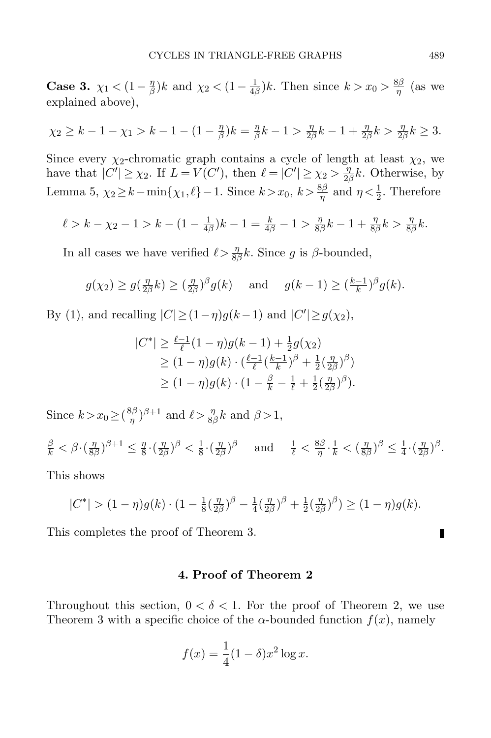Case 3.  $\chi_1 < (1 - \frac{\eta}{\beta})$  $\frac{\eta}{\beta}$ )k and  $\chi_2 < (1 - \frac{1}{4k})$  $\frac{1}{4\beta}$ )k. Then since  $k > x_0 > \frac{8\beta}{\eta}$  $rac{3p}{\eta}$  (as we explained above),

$$
\chi_2 \ge k - 1 - \chi_1 > k - 1 - (1 - \frac{\eta}{\beta})k = \frac{\eta}{\beta}k - 1 > \frac{\eta}{2\beta}k - 1 + \frac{\eta}{2\beta}k > \frac{\eta}{2\beta}k \ge 3.
$$

Since every  $\chi_2$ -chromatic graph contains a cycle of length at least  $\chi_2$ , we have that  $|C'| \geq \chi_2$ . If  $L = V(C')$ , then  $\ell = |C'| \geq \chi_2 > \frac{\eta_2}{2\ell}$  $\frac{\eta}{2\beta}k$ . Otherwise, by Lemma [5,](#page-3-1)  $\chi_2 \geq k - \min\{\chi_1, \ell\} - 1$ . Since  $k > x_0$ ,  $k > \frac{8\beta}{\eta}$  and  $\eta < \frac{1}{2}$ . Therefore

$$
\ell > k - \chi_2 - 1 > k - (1 - \frac{1}{4\beta})k - 1 = \frac{k}{4\beta} - 1 > \frac{\eta}{8\beta}k - 1 + \frac{\eta}{8\beta}k > \frac{\eta}{8\beta}k.
$$

In all cases we have verified  $\ell > \frac{\eta}{8\beta}k$ . Since g is  $\beta$ -bounded,

$$
g(\chi_2) \ge g(\frac{\eta}{2\beta}k) \ge (\frac{\eta}{2\beta})^{\beta}g(k)
$$
 and  $g(k-1) \ge (\frac{k-1}{k})^{\beta}g(k)$ .

By [\(1\)](#page-7-1), and recalling  $|C| \ge (1 - \eta)g(k-1)$  and  $|C'| \ge g(\chi_2)$ ,

$$
|C^*| \ge \frac{\ell - 1}{\ell} (1 - \eta) g(k - 1) + \frac{1}{2} g(\chi_2)
$$
  
\n
$$
\ge (1 - \eta) g(k) \cdot (\frac{\ell - 1}{\ell} (\frac{k - 1}{k})^{\beta} + \frac{1}{2} (\frac{\eta}{2\beta})^{\beta})
$$
  
\n
$$
\ge (1 - \eta) g(k) \cdot (1 - \frac{\beta}{k} - \frac{1}{\ell} + \frac{1}{2} (\frac{\eta}{2\beta})^{\beta}).
$$

Since  $k > x_0 \geq (\frac{8\beta}{n})$  $(\frac{\beta\beta}{\eta})^{\beta+1}$  and  $\ell > \frac{\eta}{8\beta}k$  and  $\beta > 1$ ,

 $\frac{\beta}{k}<\beta\!\cdot\!(\frac{\eta}{8}$  $\frac{\eta}{8\beta})^{\beta+1} \leq \frac{\eta}{8}$  $rac{\eta}{8} \cdot \left(\frac{\eta}{2\beta}\right)$  $\frac{\eta}{2\beta})^{\beta} < \frac{1}{8}$  $rac{1}{8} \cdot \left(\frac{\eta}{2\mu}\right)$  $(\frac{\eta}{2\beta})^{\beta}$  and  $\frac{1}{\ell} < \frac{8\beta}{\eta}$  $\frac{3\beta}{\eta}\cdot\frac{1}{k}<(\frac{\eta}{8k}$  $\frac{\eta}{8\beta})^{\beta} \leq \frac{1}{4}$  $\frac{1}{4} \cdot \left( \frac{\eta}{2 \pi} \right)$  $\frac{\eta}{2\beta})^{\beta}$ .

This shows

$$
|C^*| > (1 - \eta)g(k) \cdot (1 - \frac{1}{8}(\frac{\eta}{2\beta})^{\beta} - \frac{1}{4}(\frac{\eta}{2\beta})^{\beta} + \frac{1}{2}(\frac{\eta}{2\beta})^{\beta}) \ge (1 - \eta)g(k).
$$

This completes the proof of Theorem [3.](#page-2-0)

## 4. Proof of Theorem [2](#page-1-1)

<span id="page-8-0"></span>Throughout this section,  $0 < \delta < 1$ . For the proof of Theorem [2,](#page-1-1) we use Theorem [3](#page-2-0) with a specific choice of the  $\alpha$ -bounded function  $f(x)$ , namely

$$
f(x) = \frac{1}{4}(1 - \delta)x^2 \log x.
$$

П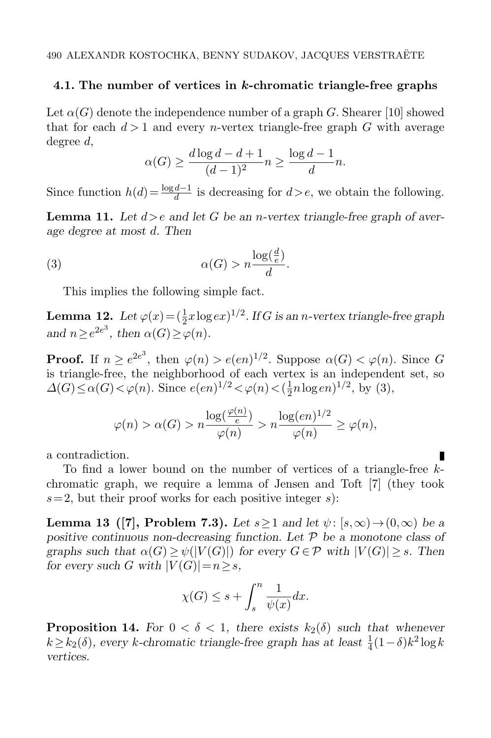### 4.1. The number of vertices in k-chromatic triangle-free graphs

Let  $\alpha(G)$  denote the independence number of a graph G. Shearer [\[10\]](#page-13-9) showed that for each  $d > 1$  and every *n*-vertex triangle-free graph G with average degree d,

<span id="page-9-0"></span>
$$
\alpha(G) \ge \frac{d \log d - d + 1}{(d-1)^2} n \ge \frac{\log d - 1}{d} n.
$$

Since function  $h(d) = \frac{\log d - 1}{d}$  is decreasing for  $d > e$ , we obtain the following.

**Lemma 11.** Let  $d > e$  and let G be an *n*-vertex triangle-free graph of average degree at most d. Then

(3) 
$$
\alpha(G) > n \frac{\log(\frac{d}{e})}{d}.
$$

This implies the following simple fact.

<span id="page-9-1"></span>**Lemma 12.** Let  $\varphi(x) = (\frac{1}{2}x\log e x)^{1/2}$ . If G is an *n*-vertex triangle-free graph and  $n \geq e^{2e^3}$ , then  $\alpha(G) \geq \varphi(n)$ .

**Proof.** If  $n \ge e^{2e^3}$ , then  $\varphi(n) > e(en)^{1/2}$ . Suppose  $\alpha(G) < \varphi(n)$ . Since G is triangle-free, the neighborhood of each vertex is an independent set, so  $\Delta(G) \leq \alpha(G) < \varphi(n)$ . Since  $e(en)^{1/2} < \varphi(n) < (\frac{1}{2})$  $\frac{1}{2}n\log en)^{1/2}$ , by [\(3\)](#page-9-0),

$$
\varphi(n) > \alpha(G) > n \frac{\log(\frac{\varphi(n)}{e})}{\varphi(n)} > n \frac{\log(en)^{1/2}}{\varphi(n)} \ge \varphi(n),
$$

a contradiction.

To find a lower bound on the number of vertices of a triangle-free kchromatic graph, we require a lemma of Jensen and Toft [\[7\]](#page-13-10) (they took  $s=2$ , but their proof works for each positive integer s):

<span id="page-9-2"></span>**Lemma 13** ([\[7\]](#page-13-10), Problem 7.3). Let  $s \ge 1$  and let  $\psi$ :  $(s, \infty) \to (0, \infty)$  be a positive continuous non-decreasing function. Let  $\mathcal P$  be a monotone class of graphs such that  $\alpha(G) \geq \psi(|V(G)|)$  for every  $G \in \mathcal{P}$  with  $|V(G)| \geq s$ . Then for every such G with  $|V(G)| = n \geq s$ ,

$$
\chi(G)\leq s+\int_s^n\frac{1}{\psi(x)}dx.
$$

<span id="page-9-3"></span>**Proposition 14.** For  $0 < \delta < 1$ , there exists  $k_2(\delta)$  such that whenever  $k \ge k_2(\delta)$ , every k-chromatic triangle-free graph has at least  $\frac{1}{4}(1-\delta)k^2 \log k$ vertices.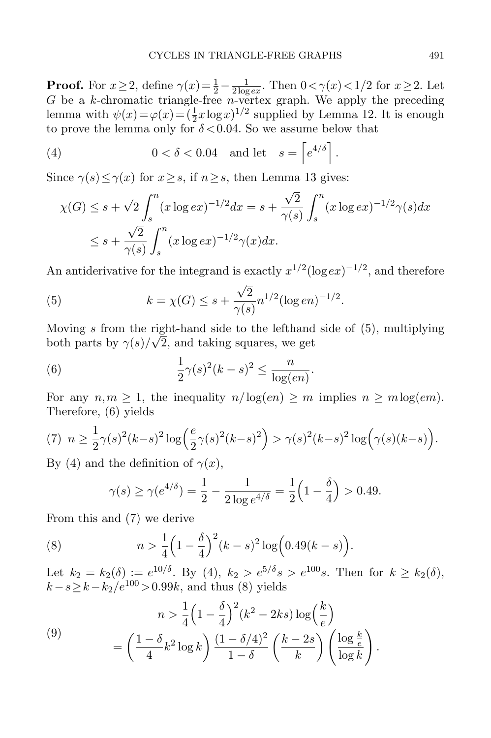**Proof.** For  $x \ge 2$ , define  $\gamma(x) = \frac{1}{2} - \frac{1}{2 \log x}$  $\frac{1}{2 \log e x}$ . Then  $0 < \gamma(x) < 1/2$  for  $x \ge 2$ . Let G be a k-chromatic triangle-free n-vertex graph. We apply the preceding lemma with  $\psi(x) = \varphi(x) = (\frac{1}{2}x \log x)^{1/2}$  supplied by Lemma [12.](#page-9-1) It is enough to prove the lemma only for  $\delta < 0.04$ . So we assume below that

(4) 
$$
0 < \delta < 0.04 \text{ and let } s = \left[e^{4/\delta}\right].
$$

Since  $\gamma(s) \leq \gamma(x)$  for  $x \geq s$ , if  $n \geq s$ , then Lemma [13](#page-9-2) gives:

<span id="page-10-2"></span>
$$
\chi(G) \le s + \sqrt{2} \int_s^n (x \log e x)^{-1/2} dx = s + \frac{\sqrt{2}}{\gamma(s)} \int_s^n (x \log e x)^{-1/2} \gamma(s) dx
$$
  
 
$$
\le s + \frac{\sqrt{2}}{\gamma(s)} \int_s^n (x \log e x)^{-1/2} \gamma(x) dx.
$$

An antiderivative for the integrand is exactly  $x^{1/2}(\log e x)^{-1/2}$ , and therefore

<span id="page-10-0"></span>(5) 
$$
k = \chi(G) \leq s + \frac{\sqrt{2}}{\gamma(s)} n^{1/2} (\log en)^{-1/2}.
$$

Moving s from the right-hand side to the lefthand side of  $(5)$ , multiplying both parts by  $\gamma(s)/\sqrt{2}$ , and taking squares, we get

.

.

<span id="page-10-1"></span>(6) 
$$
\frac{1}{2}\gamma(s)^2(k-s)^2 \le \frac{n}{\log(en)}
$$

For any  $n,m \geq 1$ , the inequality  $n/\log(en) \geq m$  implies  $n \geq m \log(em)$ . Therefore, [\(6\)](#page-10-1) yields

<span id="page-10-3"></span>(7) 
$$
n \ge \frac{1}{2}\gamma(s)^2(k-s)^2\log\left(\frac{e}{2}\gamma(s)^2(k-s)^2\right) > \gamma(s)^2(k-s)^2\log\left(\gamma(s)(k-s)\right).
$$

By [\(4\)](#page-10-2) and the definition of  $\gamma(x)$ ,

<span id="page-10-4"></span>
$$
\gamma(s) \ge \gamma(e^{4/\delta}) = \frac{1}{2} - \frac{1}{2 \log e^{4/\delta}} = \frac{1}{2} \left( 1 - \frac{\delta}{4} \right) > 0.49.
$$

From this and [\(7\)](#page-10-3) we derive

(8) 
$$
n > \frac{1}{4} \left( 1 - \frac{\delta}{4} \right)^2 (k - s)^2 \log \left( 0.49(k - s) \right).
$$

Let  $k_2 = k_2(\delta) := e^{10/\delta}$ . By [\(4\)](#page-10-2),  $k_2 > e^{5/\delta} s > e^{100} s$ . Then for  $k \geq k_2(\delta)$ ,  $k-s \geq k-k_2/e^{100} > 0.99k$ , and thus [\(8\)](#page-10-4) yields

<span id="page-10-5"></span>(9)  

$$
n > \frac{1}{4} \left( 1 - \frac{\delta}{4} \right)^2 (k^2 - 2ks) \log \left( \frac{k}{e} \right)
$$

$$
= \left( \frac{1 - \delta}{4} k^2 \log k \right) \frac{(1 - \delta/4)^2}{1 - \delta} \left( \frac{k - 2s}{k} \right) \left( \frac{\log \frac{k}{e}}{\log k} \right)
$$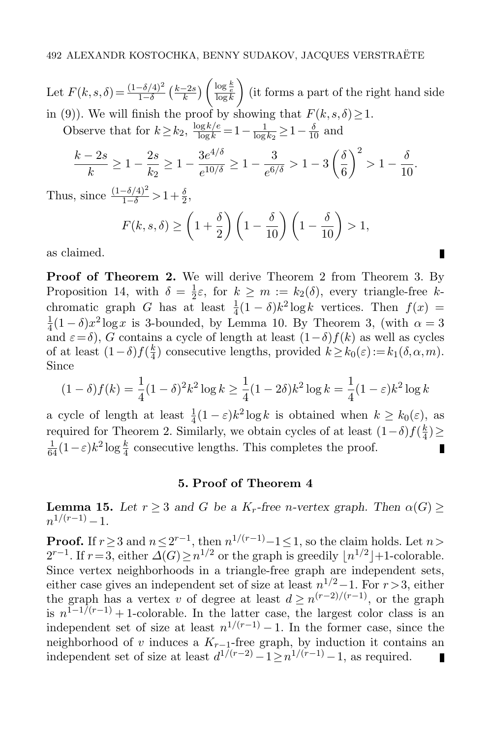Let  $F(k, s, \delta) = \frac{(1 - \delta/4)^2}{1 - \delta} \left(\frac{k - 2s}{k}\right)$  $\frac{-2s}{k}$ )  $\left(\frac{\log \frac{k}{e}}{\log k}\right)$  (it forms a part of the right hand side in [\(9\)](#page-10-5)). We will finish the proof by showing that  $F(k, s, \delta) \geq 1$ .

Observe that for  $k \ge k_2$ ,  $\frac{\log k/e}{\log k} = 1 - \frac{1}{\log k}$  $\frac{1}{\log k_2} \geq 1 - \frac{\delta}{10}$  and

$$
\frac{k-2s}{k} \ge 1 - \frac{2s}{k_2} \ge 1 - \frac{3e^{4/\delta}}{e^{10/\delta}} \ge 1 - \frac{3}{e^{6/\delta}} > 1 - 3\left(\frac{\delta}{6}\right)^2 > 1 - \frac{\delta}{10}
$$

.

П

Thus, since  $\frac{(1-\delta/4)^2}{1-\delta} > 1 + \frac{\delta}{2}$ ,

$$
F(k, s, \delta) \ge \left(1 + \frac{\delta}{2}\right) \left(1 - \frac{\delta}{10}\right) \left(1 - \frac{\delta}{10}\right) > 1,
$$

as claimed.

Proof of Theorem [2.](#page-1-1) We will derive Theorem [2](#page-1-1) from Theorem [3.](#page-2-0) By Proposition [14,](#page-9-3) with  $\delta = \frac{1}{2}$  $\frac{1}{2}\varepsilon$ , for  $k \geq m := k_2(\delta)$ , every triangle-free kchromatic graph G has at least  $\frac{1}{4}(1-\delta)k^2\log k$  vertices. Then  $f(x) =$  $\frac{1}{4}(1-\delta)x^2\log x$  is 3-bounded, by Lemma [10.](#page-6-0) By Theorem [3,](#page-2-0) (with  $\alpha=3$  $\alpha$ <sub>4</sub>(1 °  $\beta$ ),  $\alpha$  log<sub>a</sub> is  $\beta$  bounded, by Eemma 10. By Theorem 9, (while  $\alpha = \beta$ ) and  $\varepsilon = \delta$ ),  $\beta$  contains a cycle of length at least  $(1-\delta)f(k)$  as well as cycles of at least  $(1-\delta) f(\frac{k}{4})$  $\frac{k}{4}$ ) consecutive lengths, provided  $k \ge k_0(\varepsilon) := k_1(\delta, \alpha, m)$ . Since

$$
(1 - \delta) f(k) = \frac{1}{4} (1 - \delta)^2 k^2 \log k \ge \frac{1}{4} (1 - 2\delta) k^2 \log k = \frac{1}{4} (1 - \varepsilon) k^2 \log k
$$

a cycle of length at least  $\frac{1}{4}(1-\varepsilon)k^2\log k$  is obtained when  $k \ge k_0(\varepsilon)$ , as required for Theorem [2.](#page-1-1) Similarly, we obtain cycles of at least  $(1-\delta)f(\frac{k}{4})$  $\frac{k}{4}) \geq$  $\frac{1}{64}(1-\varepsilon)k^2\log\frac{k}{4}$  consecutive lengths. This completes the proof. П

## 5. Proof of Theorem [4](#page-2-1)

<span id="page-11-1"></span><span id="page-11-0"></span>**Lemma 15.** Let  $r \geq 3$  and G be a K<sub>r</sub>-free n-vertex graph. Then  $\alpha(G) \geq$  $n^{1/(r-1)}-1$ .

<span id="page-11-2"></span>**Proof.** If  $r \geq 3$  and  $n \leq 2^{r-1}$ , then  $n^{1/(r-1)}-1 \leq 1$ , so the claim holds. Let  $n >$  $2^{r-1}$ . If  $r=3$ , either  $\Delta(G) \geq n^{1/2}$  or the graph is greedily  $\lfloor n^{1/2} \rfloor + 1$ -colorable. Since vertex neighborhoods in a triangle-free graph are independent sets, either case gives an independent set of size at least  $n^{1/2}-1$ . For  $r > 3$ , either the graph has a vertex v of degree at least  $d \geq n^{(r-2)/(r-1)}$ , or the graph is  $n^{1-1/(r-1)}+1$ -colorable. In the latter case, the largest color class is an independent set of size at least  $n^{1/(r-1)}-1$ . In the former case, since the neighborhood of v induces a  $K_{r-1}$ -free graph, by induction it contains an independent set of size at least  $d^{1/(r-2)} - 1 \geq n^{1/(r-1)} - 1$ , as required. П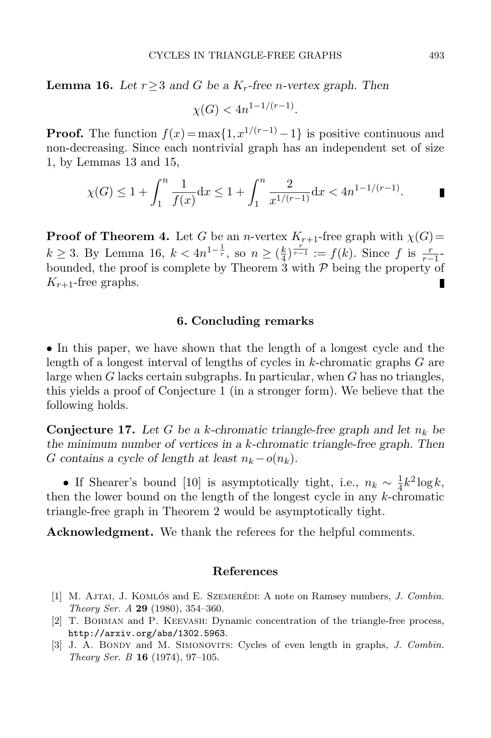**Lemma 16.** Let  $r \geq 3$  and G be a  $K_r$ -free *n*-vertex graph. Then

$$
\chi(G) < 4n^{1-1/(r-1)}.
$$

**Proof.** The function  $f(x) = \max\{1, x^{1/(r-1)} - 1\}$  is positive continuous and non-decreasing. Since each nontrivial graph has an independent set of size 1, by Lemmas [13](#page-9-2) and [15,](#page-11-1)

$$
\chi(G) \le 1 + \int_1^n \frac{1}{f(x)} dx \le 1 + \int_1^n \frac{2}{x^{1/(r-1)}} dx < 4n^{1-1/(r-1)}.
$$

**Proof of Theorem [4.](#page-2-1)** Let G be an n-vertex  $K_{r+1}$ -free graph with  $\chi(G)$ =  $k \ge 3$ . By Lemma [16,](#page-11-2)  $k < 4n^{1-\frac{1}{r}}$ , so  $n \ge (\frac{k}{4})^{\frac{r}{r-1}} := f(k)$ . Since f is  $\frac{r}{r-1}$ bounded, the proof is complete by Theorem [3](#page-2-0) with  $P$  being the property of  $K_{r+1}$ -free graphs.

### 6. Concluding remarks

• In this paper, we have shown that the length of a longest cycle and the length of a longest interval of lengths of cycles in  $k$ -chromatic graphs  $G$  are large when  $G$  lacks certain subgraphs. In particular, when  $G$  has no triangles, this yields a proof of Conjecture 1 (in a stronger form). We believe that the following holds.

**Conjecture 17.** Let G be a k-chromatic triangle-free graph and let  $n_k$  be the minimum number of vertices in a k-chromatic triangle-free graph. Then G contains a cycle of length at least  $n_k - o(n_k)$ .

• If Shearer's bound [\[10\]](#page-13-9) is asymptotically tight, i.e.,  $n_k \sim \frac{1}{4}$  $\frac{1}{4}k^2 \log k,$ then the lower bound on the length of the longest cycle in any  $k$ -chromatic triangle-free graph in Theorem [2](#page-1-1) would be asymptotically tight.

Acknowledgment. We thank the referees for the helpful comments.

#### References

- <span id="page-12-1"></span>[1] M. AJTAI, J. KOMLÓS and E. SZEMERÉDI: A note on Ramsey numbers, J. Combin. Theory Ser. A 29 (1980), 354–360.
- <span id="page-12-0"></span>[2] T. Bohman and P. Keevash: Dynamic concentration of the triangle-free process, <http://arxiv.org/abs/1302.5963>.
- <span id="page-12-2"></span>[3] J. A. BONDY and M. SIMONOVITS: Cycles of even length in graphs, J. Combin. Theory Ser. B 16 (1974), 97–105.